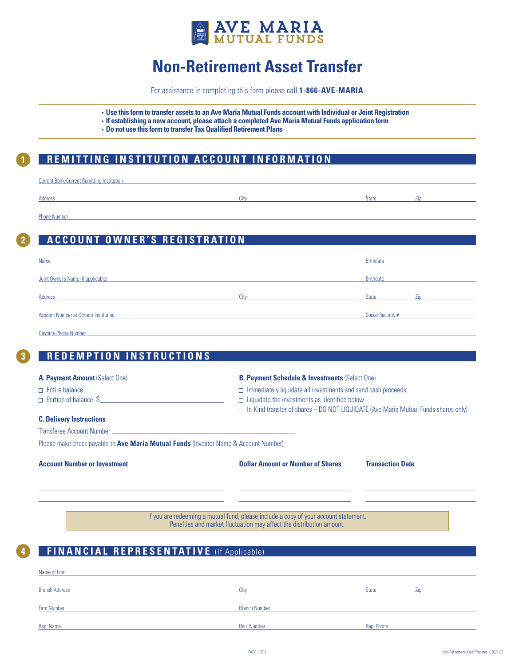

# **Non-Retirement Asset Transfer**

For assistance in completing this form please call **1-866-AVE-MARIA**

- **Use this form to transfer assets to an Ave Maria Mutual Funds account with Individual or Joint Registration**
- **If establishing a new account, please attach a completed Ave Maria Mutual Funds application form**
- **Do not use this form to transfer Tax Qualified Retirement Plans**

## **1 REMITTING INSTITUTION ACCOUNT INFORMATION**

Current Bank/Current Remitting Institution

Address City State Zip

Phone Number

### **2 ACCOUNT OWNER'S REGISTRATION**

| Name                                                                                                            |      | Birthdate         |  |
|-----------------------------------------------------------------------------------------------------------------|------|-------------------|--|
| Joint Owner's Name (if applicable)                                                                              |      | Birthdate         |  |
| Address                                                                                                         | City | <b>State</b>      |  |
| <b>Account Number at Current Institution</b>                                                                    |      | Social Security # |  |
| the contract of the contract of the contract of the contract of the contract of the contract of the contract of |      |                   |  |

Daytime Phone Number

### **3 R EDEMPTION INSTRUCTIONS**

- **A. Payment Amount** (Select One)
- $\Box$  Entire balance
- □ Portion of balance \$
- **B. Payment Schedule & Investments** (Select One)
- $\Box$  Immediately liquidate all investments and send cash proceeds
- $\Box$  Liquidate the investments as identified below
- $\Box$  In-Kind transfer of shares DO NOT LIQUIDATE (Ave Maria Mutual Funds shares only)

### **C. Delivery Instructions**

Transferee Account Number

Please make check payable to **Ave Maria Mutual Funds** (Investor Name & Account Number)

**Account Number or Investment Dollar Amount or Number of Shares Transaction Date**

If you are redeeming a mutual fund, please include a copy of your account statement. Penalties and market fluctuation may affect the distribution amount.

## **4 F INANCIAL REPRESENTATIVE** (If Applicable)

| Name of Firm          |                      |              |             |
|-----------------------|----------------------|--------------|-------------|
| <b>Branch Address</b> | City                 | <b>State</b> | $\angle$ ID |
| Firm Number           | <b>Branch Number</b> |              |             |
| Rep. Name             | Rep. Number          | Rep. Phone   |             |